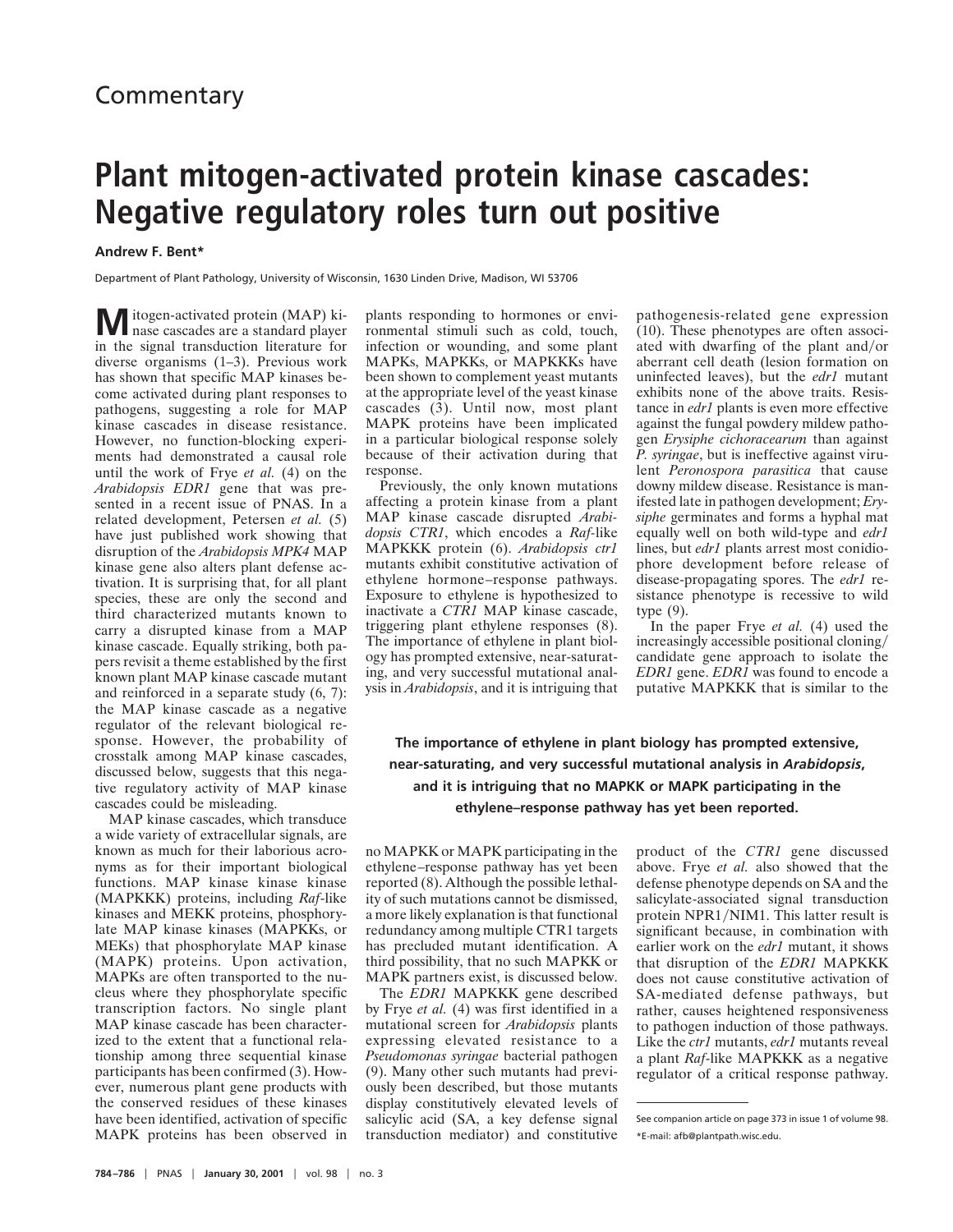## **Commentary**

## **Plant mitogen-activated protein kinase cascades: Negative regulatory roles turn out positive**

## **Andrew F. Bent\***

Department of Plant Pathology, University of Wisconsin, 1630 Linden Drive, Madison, WI 53706

 $M$ itogen-activated protein (MAP) kiin the signal transduction literature for diverse organisms (1–3). Previous work has shown that specific MAP kinases become activated during plant responses to pathogens, suggesting a role for MAP kinase cascades in disease resistance. However, no function-blocking experiments had demonstrated a causal role until the work of Frye *et al.* (4) on the *Arabidopsis EDR1* gene that was presented in a recent issue of PNAS. In a related development, Petersen *et al.* (5) have just published work showing that disruption of the *Arabidopsis MPK4* MAP kinase gene also alters plant defense activation. It is surprising that, for all plant species, these are only the second and third characterized mutants known to carry a disrupted kinase from a MAP kinase cascade. Equally striking, both papers revisit a theme established by the first known plant MAP kinase cascade mutant and reinforced in a separate study (6, 7): the MAP kinase cascade as a negative regulator of the relevant biological response. However, the probability of crosstalk among MAP kinase cascades, discussed below, suggests that this negative regulatory activity of MAP kinase cascades could be misleading.

MAP kinase cascades, which transduce a wide variety of extracellular signals, are known as much for their laborious acronyms as for their important biological functions. MAP kinase kinase kinase (MAPKKK) proteins, including *Raf*-like kinases and MEKK proteins, phosphorylate MAP kinase kinases (MAPKKs, or MEKs) that phosphorylate MAP kinase (MAPK) proteins. Upon activation, MAPKs are often transported to the nucleus where they phosphorylate specific transcription factors. No single plant MAP kinase cascade has been characterized to the extent that a functional relationship among three sequential kinase participants has been confirmed (3). However, numerous plant gene products with the conserved residues of these kinases have been identified, activation of specific MAPK proteins has been observed in

plants responding to hormones or environmental stimuli such as cold, touch, infection or wounding, and some plant MAPKs, MAPKKs, or MAPKKKs have been shown to complement yeast mutants at the appropriate level of the yeast kinase cascades (3). Until now, most plant MAPK proteins have been implicated in a particular biological response solely because of their activation during that response.

Previously, the only known mutations affecting a protein kinase from a plant MAP kinase cascade disrupted *Arabidopsis CTR1*, which encodes a *Raf-*like MAPKKK protein (6). *Arabidopsis ctr1* mutants exhibit constitutive activation of ethylene hormone–response pathways. Exposure to ethylene is hypothesized to inactivate a *CTR1* MAP kinase cascade, triggering plant ethylene responses (8). The importance of ethylene in plant biology has prompted extensive, near-saturating, and very successful mutational analysis in *Arabidopsis*, and it is intriguing that pathogenesis-related gene expression (10). These phenotypes are often associated with dwarfing of the plant and/or aberrant cell death (lesion formation on uninfected leaves), but the *edr1* mutant exhibits none of the above traits. Resistance in *edr1* plants is even more effective against the fungal powdery mildew pathogen *Erysiphe cichoracearum* than against *P. syringae*, but is ineffective against virulent *Peronospora parasitica* that cause downy mildew disease. Resistance is manifested late in pathogen development; *Erysiphe* germinates and forms a hyphal mat equally well on both wild-type and *edr1* lines, but *edr1* plants arrest most conidiophore development before release of disease-propagating spores. The *edr1* resistance phenotype is recessive to wild type (9).

In the paper Frye *et al.* (4) used the increasingly accessible positional cloning/ candidate gene approach to isolate the *EDR1* gene. *EDR1* was found to encode a putative MAPKKK that is similar to the

**The importance of ethylene in plant biology has prompted extensive, near-saturating, and very successful mutational analysis in** *Arabidopsis***, and it is intriguing that no MAPKK or MAPK participating in the ethylene–response pathway has yet been reported.**

no MAPKK or MAPK participating in the ethylene–response pathway has yet been reported (8). Although the possible lethality of such mutations cannot be dismissed, a more likely explanation is that functional redundancy among multiple CTR1 targets has precluded mutant identification. A third possibility, that no such MAPKK or MAPK partners exist, is discussed below.

The *EDR1* MAPKKK gene described by Frye *et al.* (4) was first identified in a mutational screen for *Arabidopsis* plants expressing elevated resistance to a *Pseudomonas syringae* bacterial pathogen (9). Many other such mutants had previously been described, but those mutants display constitutively elevated levels of salicylic acid (SA, a key defense signal transduction mediator) and constitutive product of the *CTR1* gene discussed above. Frye *et al.* also showed that the defense phenotype depends on SA and the salicylate-associated signal transduction protein NPR1/NIM1. This latter result is significant because, in combination with earlier work on the *edr1* mutant, it shows that disruption of the *EDR1* MAPKKK does not cause constitutive activation of SA-mediated defense pathways, but rather, causes heightened responsiveness to pathogen induction of those pathways. Like the *ctr1* mutants, *edr1* mutants reveal a plant *Raf*-like MAPKKK as a negative regulator of a critical response pathway.

See companion article on page 373 in issue 1 of volume 98. \*E-mail: afb@plantpath.wisc.edu.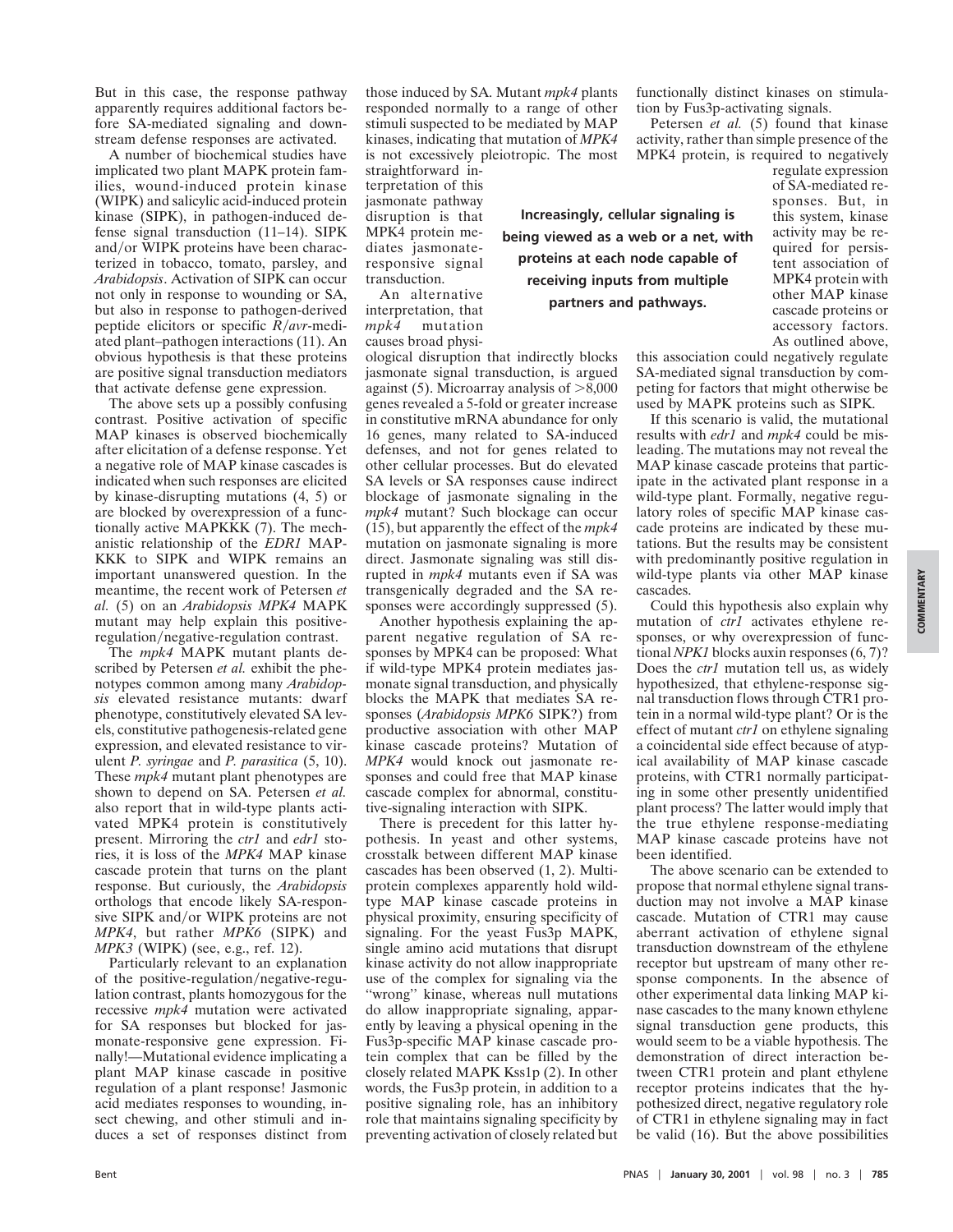But in this case, the response pathway apparently requires additional factors before SA-mediated signaling and downstream defense responses are activated.

A number of biochemical studies have implicated two plant MAPK protein families, wound-induced protein kinase (WIPK) and salicylic acid-induced protein kinase (SIPK), in pathogen-induced defense signal transduction (11–14). SIPK and/or WIPK proteins have been characterized in tobacco, tomato, parsley, and *Arabidopsis*. Activation of SIPK can occur not only in response to wounding or SA, but also in response to pathogen-derived peptide elicitors or specific *R*/*avr*-mediated plant–pathogen interactions (11). An obvious hypothesis is that these proteins are positive signal transduction mediators that activate defense gene expression.

The above sets up a possibly confusing contrast. Positive activation of specific MAP kinases is observed biochemically after elicitation of a defense response. Yet a negative role of MAP kinase cascades is indicated when such responses are elicited by kinase-disrupting mutations (4, 5) or are blocked by overexpression of a functionally active MAPKKK (7). The mechanistic relationship of the *EDR1* MAP-KKK to SIPK and WIPK remains an important unanswered question. In the meantime, the recent work of Petersen *et al.* (5) on an *Arabidopsis MPK4* MAPK mutant may help explain this positiveregulation/negative-regulation contrast.

The *mpk4* MAPK mutant plants described by Petersen *et al.* exhibit the phenotypes common among many *Arabidopsis* elevated resistance mutants: dwarf phenotype, constitutively elevated SA levels, constitutive pathogenesis-related gene expression, and elevated resistance to virulent *P. syringae* and *P. parasitica* (5, 10). These *mpk4* mutant plant phenotypes are shown to depend on SA. Petersen *et al.* also report that in wild-type plants activated MPK4 protein is constitutively present. Mirroring the *ctr1* and *edr1* stories, it is loss of the *MPK4* MAP kinase cascade protein that turns on the plant response. But curiously, the *Arabidopsis* orthologs that encode likely SA-responsive SIPK and/or WIPK proteins are not *MPK4*, but rather *MPK6* (SIPK) and *MPK3* (WIPK) (see, e.g., ref. 12).

Particularly relevant to an explanation of the positive-regulation/negative-regulation contrast, plants homozygous for the recessive *mpk4* mutation were activated for SA responses but blocked for jasmonate-responsive gene expression. Finally!—Mutational evidence implicating a plant MAP kinase cascade in positive regulation of a plant response! Jasmonic acid mediates responses to wounding, insect chewing, and other stimuli and induces a set of responses distinct from those induced by SA. Mutant *mpk4* plants responded normally to a range of other stimuli suspected to be mediated by MAP kinases, indicating that mutation of *MPK4* is not excessively pleiotropic. The most

straightforward interpretation of this jasmonate pathway disruption is that MPK4 protein mediates jasmonateresponsive signal transduction.

An alternative interpretation, that *mpk4* mutation causes broad physi-

ological disruption that indirectly blocks jasmonate signal transduction, is argued against  $(5)$ . Microarray analysis of  $>8,000$ genes revealed a 5-fold or greater increase in constitutive mRNA abundance for only 16 genes, many related to SA-induced defenses, and not for genes related to other cellular processes. But do elevated SA levels or SA responses cause indirect blockage of jasmonate signaling in the *mpk4* mutant? Such blockage can occur (15), but apparently the effect of the *mpk4* mutation on jasmonate signaling is more direct. Jasmonate signaling was still disrupted in *mpk4* mutants even if SA was transgenically degraded and the SA responses were accordingly suppressed (5).

Another hypothesis explaining the apparent negative regulation of SA responses by MPK4 can be proposed: What if wild-type MPK4 protein mediates jasmonate signal transduction, and physically blocks the MAPK that mediates SA responses (*Arabidopsis MPK6* SIPK?) from productive association with other MAP kinase cascade proteins? Mutation of *MPK4* would knock out jasmonate responses and could free that MAP kinase cascade complex for abnormal, constitutive-signaling interaction with SIPK.

There is precedent for this latter hypothesis. In yeast and other systems, crosstalk between different MAP kinase cascades has been observed (1, 2). Multiprotein complexes apparently hold wildtype MAP kinase cascade proteins in physical proximity, ensuring specificity of signaling. For the yeast Fus3p MAPK, single amino acid mutations that disrupt kinase activity do not allow inappropriate use of the complex for signaling via the ''wrong'' kinase, whereas null mutations do allow inappropriate signaling, apparently by leaving a physical opening in the Fus3p-specific MAP kinase cascade protein complex that can be filled by the closely related MAPK Kss1p (2). In other words, the Fus3p protein, in addition to a positive signaling role, has an inhibitory role that maintains signaling specificity by preventing activation of closely related but functionally distinct kinases on stimulation by Fus3p-activating signals.

Petersen *et al.* (5) found that kinase activity, rather than simple presence of the MPK4 protein, is required to negatively

**Increasingly, cellular signaling is being viewed as a web or a net, with proteins at each node capable of receiving inputs from multiple partners and pathways.**

regulate expression of SA-mediated responses. But, in this system, kinase activity may be required for persistent association of MPK4 protein with other MAP kinase cascade proteins or accessory factors. As outlined above,

this association could negatively regulate SA-mediated signal transduction by competing for factors that might otherwise be used by MAPK proteins such as SIPK.

If this scenario is valid, the mutational results with *edr1* and *mpk4* could be misleading. The mutations may not reveal the MAP kinase cascade proteins that participate in the activated plant response in a wild-type plant. Formally, negative regulatory roles of specific MAP kinase cascade proteins are indicated by these mutations. But the results may be consistent with predominantly positive regulation in wild-type plants via other MAP kinase cascades.

Could this hypothesis also explain why mutation of *ctr1* activates ethylene responses, or why overexpression of functional *NPK1* blocks auxin responses (6, 7)? Does the *ctr1* mutation tell us, as widely hypothesized, that ethylene-response signal transduction flows through CTR1 protein in a normal wild-type plant? Or is the effect of mutant *ctr1* on ethylene signaling a coincidental side effect because of atypical availability of MAP kinase cascade proteins, with CTR1 normally participating in some other presently unidentified plant process? The latter would imply that the true ethylene response-mediating MAP kinase cascade proteins have not been identified.

The above scenario can be extended to propose that normal ethylene signal transduction may not involve a MAP kinase cascade. Mutation of CTR1 may cause aberrant activation of ethylene signal transduction downstream of the ethylene receptor but upstream of many other response components. In the absence of other experimental data linking MAP kinase cascades to the many known ethylene signal transduction gene products, this would seem to be a viable hypothesis. The demonstration of direct interaction between CTR1 protein and plant ethylene receptor proteins indicates that the hypothesized direct, negative regulatory role of CTR1 in ethylene signaling may in fact be valid (16). But the above possibilities